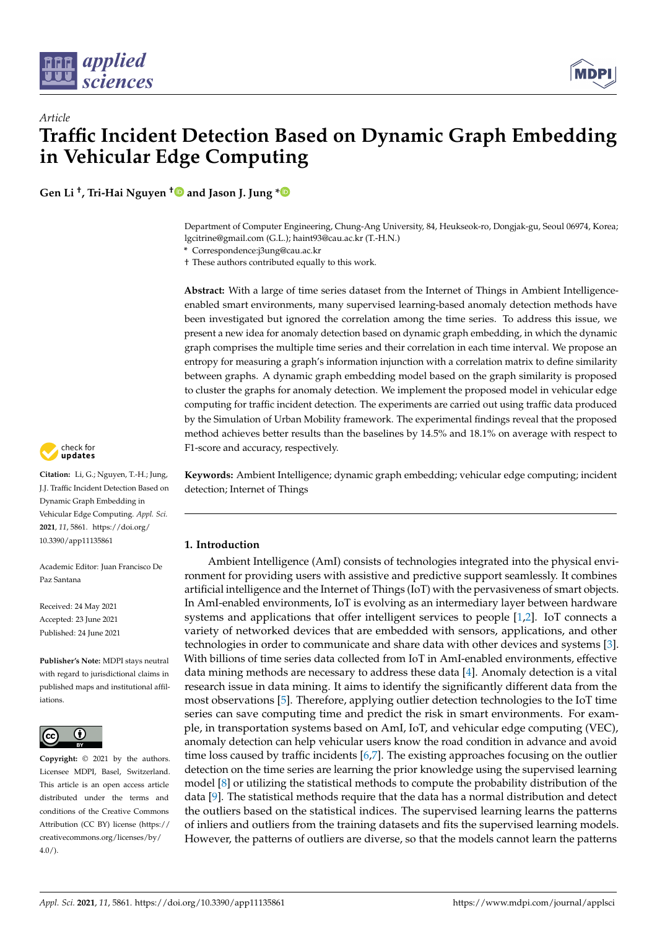

# *Article* **Traffic Incident Detection Based on Dynamic Graph Embedding in Vehicular Edge Computing**

**Gen Li † , Tri-Hai Nguyen [†](https://orcid.org/0000-0002-2132-2290) and Jason J. Jung [\\*](https://orcid.org/0000-0003-0050-7445)**

Department of Computer Engineering, Chung-Ang University, 84, Heukseok-ro, Dongjak-gu, Seoul 06974, Korea; lgcitrine@gmail.com (G.L.); haint93@cau.ac.kr (T.-H.N.)

**\*** Correspondence:j3ung@cau.ac.kr

† These authors contributed equally to this work.

**Abstract:** With a large of time series dataset from the Internet of Things in Ambient Intelligenceenabled smart environments, many supervised learning-based anomaly detection methods have been investigated but ignored the correlation among the time series. To address this issue, we present a new idea for anomaly detection based on dynamic graph embedding, in which the dynamic graph comprises the multiple time series and their correlation in each time interval. We propose an entropy for measuring a graph's information injunction with a correlation matrix to define similarity between graphs. A dynamic graph embedding model based on the graph similarity is proposed to cluster the graphs for anomaly detection. We implement the proposed model in vehicular edge computing for traffic incident detection. The experiments are carried out using traffic data produced by the Simulation of Urban Mobility framework. The experimental findings reveal that the proposed method achieves better results than the baselines by 14.5% and 18.1% on average with respect to F1-score and accuracy, respectively.

**Keywords:** Ambient Intelligence; dynamic graph embedding; vehicular edge computing; incident detection; Internet of Things

# **1. Introduction**

Ambient Intelligence (AmI) consists of technologies integrated into the physical environment for providing users with assistive and predictive support seamlessly. It combines artificial intelligence and the Internet of Things (IoT) with the pervasiveness of smart objects. In AmI-enabled environments, IoT is evolving as an intermediary layer between hardware systems and applications that offer intelligent services to people [\[1](#page-11-0)[,2\]](#page-11-1). IoT connects a variety of networked devices that are embedded with sensors, applications, and other technologies in order to communicate and share data with other devices and systems [\[3\]](#page-11-2). With billions of time series data collected from IoT in AmI-enabled environments, effective data mining methods are necessary to address these data [\[4\]](#page-11-3). Anomaly detection is a vital research issue in data mining. It aims to identify the significantly different data from the most observations [\[5\]](#page-11-4). Therefore, applying outlier detection technologies to the IoT time series can save computing time and predict the risk in smart environments. For example, in transportation systems based on AmI, IoT, and vehicular edge computing (VEC), anomaly detection can help vehicular users know the road condition in advance and avoid time loss caused by traffic incidents [\[6,](#page-11-5)[7\]](#page-11-6). The existing approaches focusing on the outlier detection on the time series are learning the prior knowledge using the supervised learning model [\[8\]](#page-11-7) or utilizing the statistical methods to compute the probability distribution of the data [\[9\]](#page-11-8). The statistical methods require that the data has a normal distribution and detect the outliers based on the statistical indices. The supervised learning learns the patterns of inliers and outliers from the training datasets and fits the supervised learning models. However, the patterns of outliers are diverse, so that the models cannot learn the patterns



**Citation:** Li, G.; Nguyen, T.-H.; Jung, J.J. Traffic Incident Detection Based on Dynamic Graph Embedding in Vehicular Edge Computing. *Appl. Sci.* **2021**, *11*, 5861. [https://doi.org/](https://doi.org/10.3390/app11135861) [10.3390/app11135861](https://doi.org/10.3390/app11135861)

Academic Editor: Juan Francisco De Paz Santana

Received: 24 May 2021 Accepted: 23 June 2021 Published: 24 June 2021

**Publisher's Note:** MDPI stays neutral with regard to jurisdictional claims in published maps and institutional affiliations.



**Copyright:** © 2021 by the authors. Licensee MDPI, Basel, Switzerland. This article is an open access article distributed under the terms and conditions of the Creative Commons Attribution (CC BY) license (https:/[/](https://creativecommons.org/licenses/by/4.0/) [creativecommons.org/licenses/by/](https://creativecommons.org/licenses/by/4.0/)  $4.0/$ ).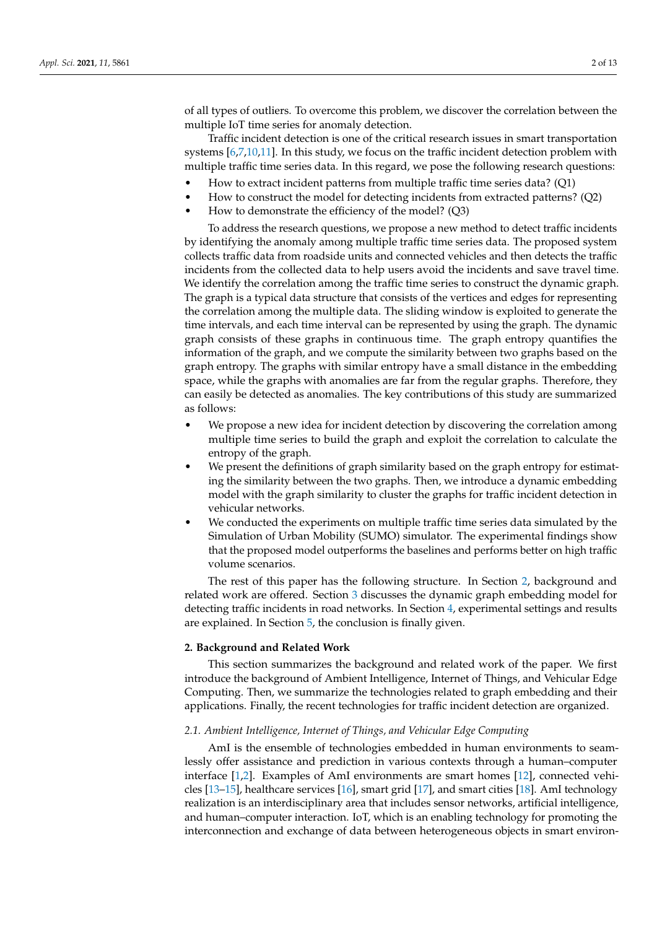of all types of outliers. To overcome this problem, we discover the correlation between the multiple IoT time series for anomaly detection.

Traffic incident detection is one of the critical research issues in smart transportation systems [\[6,](#page-11-5)[7,](#page-11-6)[10,](#page-11-9)[11\]](#page-11-10). In this study, we focus on the traffic incident detection problem with multiple traffic time series data. In this regard, we pose the following research questions:

- How to extract incident patterns from multiple traffic time series data? (Q1)
- How to construct the model for detecting incidents from extracted patterns? (Q2)
- How to demonstrate the efficiency of the model? (Q3)

To address the research questions, we propose a new method to detect traffic incidents by identifying the anomaly among multiple traffic time series data. The proposed system collects traffic data from roadside units and connected vehicles and then detects the traffic incidents from the collected data to help users avoid the incidents and save travel time. We identify the correlation among the traffic time series to construct the dynamic graph. The graph is a typical data structure that consists of the vertices and edges for representing the correlation among the multiple data. The sliding window is exploited to generate the time intervals, and each time interval can be represented by using the graph. The dynamic graph consists of these graphs in continuous time. The graph entropy quantifies the information of the graph, and we compute the similarity between two graphs based on the graph entropy. The graphs with similar entropy have a small distance in the embedding space, while the graphs with anomalies are far from the regular graphs. Therefore, they can easily be detected as anomalies. The key contributions of this study are summarized as follows:

- We propose a new idea for incident detection by discovering the correlation among multiple time series to build the graph and exploit the correlation to calculate the entropy of the graph.
- We present the definitions of graph similarity based on the graph entropy for estimating the similarity between the two graphs. Then, we introduce a dynamic embedding model with the graph similarity to cluster the graphs for traffic incident detection in vehicular networks.
- We conducted the experiments on multiple traffic time series data simulated by the Simulation of Urban Mobility (SUMO) simulator. The experimental findings show that the proposed model outperforms the baselines and performs better on high traffic volume scenarios.

The rest of this paper has the following structure. In Section [2,](#page-1-0) background and related work are offered. Section [3](#page-3-0) discusses the dynamic graph embedding model for detecting traffic incidents in road networks. In Section [4,](#page-6-0) experimental settings and results are explained. In Section [5,](#page-10-0) the conclusion is finally given.

# <span id="page-1-0"></span>**2. Background and Related Work**

This section summarizes the background and related work of the paper. We first introduce the background of Ambient Intelligence, Internet of Things, and Vehicular Edge Computing. Then, we summarize the technologies related to graph embedding and their applications. Finally, the recent technologies for traffic incident detection are organized.

## *2.1. Ambient Intelligence, Internet of Things, and Vehicular Edge Computing*

AmI is the ensemble of technologies embedded in human environments to seamlessly offer assistance and prediction in various contexts through a human–computer interface [\[1,](#page-11-0)[2\]](#page-11-1). Examples of AmI environments are smart homes [\[12\]](#page-11-11), connected vehicles [\[13–](#page-11-12)[15\]](#page-11-13), healthcare services [\[16\]](#page-11-14), smart grid [\[17\]](#page-11-15), and smart cities [\[18\]](#page-12-0). AmI technology realization is an interdisciplinary area that includes sensor networks, artificial intelligence, and human–computer interaction. IoT, which is an enabling technology for promoting the interconnection and exchange of data between heterogeneous objects in smart environ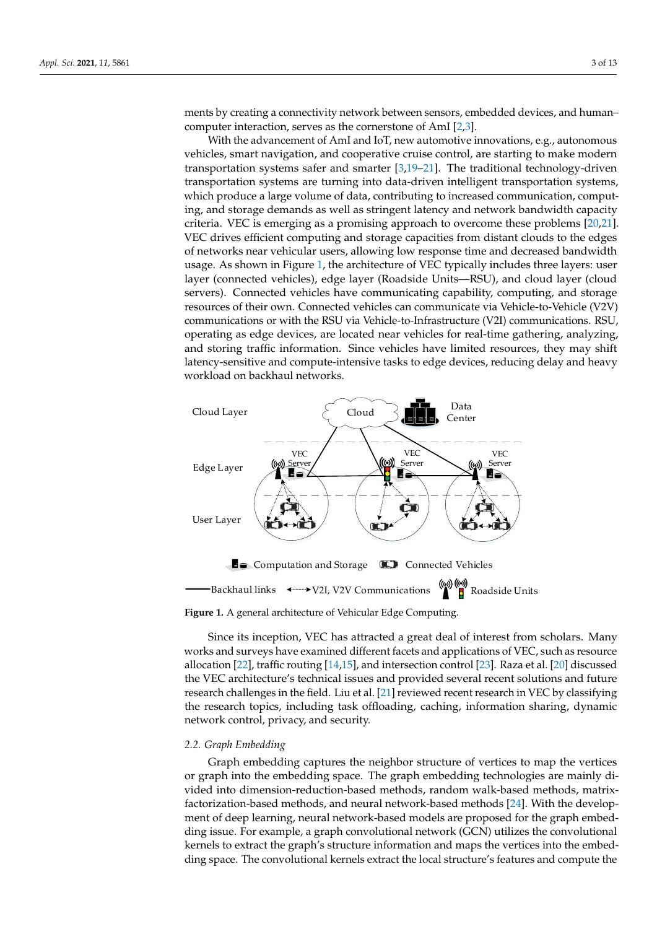ments by creating a connectivity network between sensors, embedded devices, and human– computer interaction, serves as the cornerstone of AmI [\[2,](#page-11-1)[3\]](#page-11-2).

With the advancement of AmI and IoT, new automotive innovations, e.g., autonomous vehicles, smart navigation, and cooperative cruise control, are starting to make modern transportation systems safer and smarter [\[3,](#page-11-2)[19–](#page-12-1)[21\]](#page-12-2). The traditional technology-driven transportation systems are turning into data-driven intelligent transportation systems, which produce a large volume of data, contributing to increased communication, computing, and storage demands as well as stringent latency and network bandwidth capacity criteria. VEC is emerging as a promising approach to overcome these problems [\[20,](#page-12-3)[21\]](#page-12-2). VEC drives efficient computing and storage capacities from distant clouds to the edges of networks near vehicular users, allowing low response time and decreased bandwidth usage. As shown in Figure [1,](#page-2-0) the architecture of VEC typically includes three layers: user layer (connected vehicles), edge layer (Roadside Units—RSU), and cloud layer (cloud servers). Connected vehicles have communicating capability, computing, and storage resources of their own. Connected vehicles can communicate via Vehicle-to-Vehicle (V2V) communications or with the RSU via Vehicle-to-Infrastructure (V2I) communications. RSU, operating as edge devices, are located near vehicles for real-time gathering, analyzing, and storing traffic information. Since vehicles have limited resources, they may shift latency-sensitive and compute-intensive tasks to edge devices, reducing delay and heavy workload on backhaul networks.

<span id="page-2-0"></span>

**Figure 1.** A general architecture of Vehicular Edge Computing.

Since its inception, VEC has attracted a great deal of interest from scholars. Many works and surveys have examined different facets and applications of VEC, such as resource allocation [\[22\]](#page-12-4), traffic routing [\[14](#page-11-16)[,15\]](#page-11-13), and intersection control [\[23\]](#page-12-5). Raza et al. [\[20\]](#page-12-3) discussed the VEC architecture's technical issues and provided several recent solutions and future research challenges in the field. Liu et al. [\[21\]](#page-12-2) reviewed recent research in VEC by classifying the research topics, including task offloading, caching, information sharing, dynamic network control, privacy, and security.

## *2.2. Graph Embedding*

Graph embedding captures the neighbor structure of vertices to map the vertices or graph into the embedding space. The graph embedding technologies are mainly divided into dimension-reduction-based methods, random walk-based methods, matrixfactorization-based methods, and neural network-based methods [\[24\]](#page-12-6). With the development of deep learning, neural network-based models are proposed for the graph embedding issue. For example, a graph convolutional network (GCN) utilizes the convolutional kernels to extract the graph's structure information and maps the vertices into the embedding space. The convolutional kernels extract the local structure's features and compute the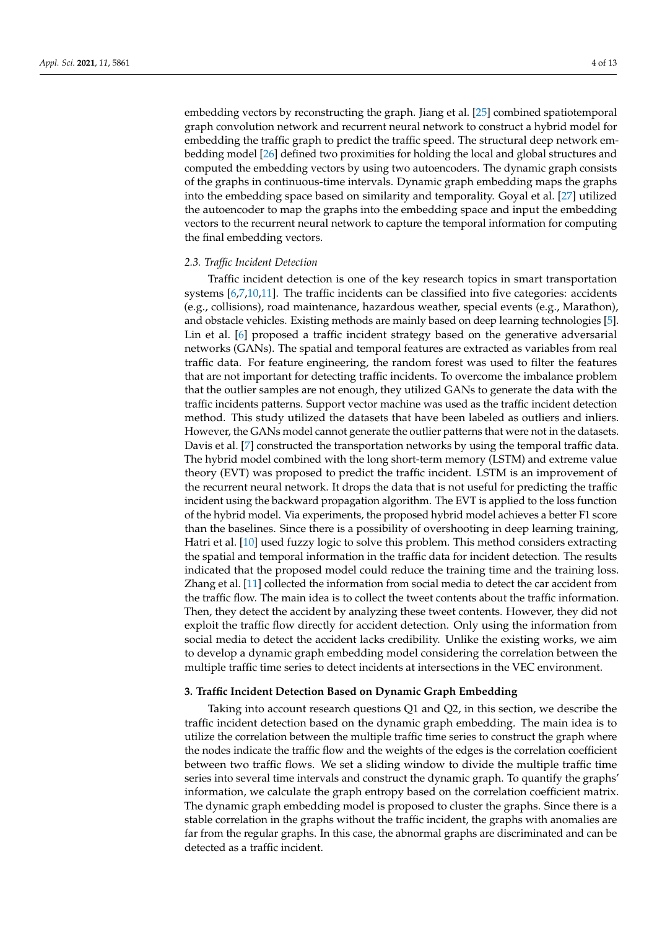embedding vectors by reconstructing the graph. Jiang et al. [\[25\]](#page-12-7) combined spatiotemporal graph convolution network and recurrent neural network to construct a hybrid model for embedding the traffic graph to predict the traffic speed. The structural deep network embedding model [\[26\]](#page-12-8) defined two proximities for holding the local and global structures and computed the embedding vectors by using two autoencoders. The dynamic graph consists of the graphs in continuous-time intervals. Dynamic graph embedding maps the graphs into the embedding space based on similarity and temporality. Goyal et al. [\[27\]](#page-12-9) utilized the autoencoder to map the graphs into the embedding space and input the embedding vectors to the recurrent neural network to capture the temporal information for computing the final embedding vectors.

## *2.3. Traffic Incident Detection*

Traffic incident detection is one of the key research topics in smart transportation systems [\[6](#page-11-5)[,7](#page-11-6)[,10](#page-11-9)[,11\]](#page-11-10). The traffic incidents can be classified into five categories: accidents (e.g., collisions), road maintenance, hazardous weather, special events (e.g., Marathon), and obstacle vehicles. Existing methods are mainly based on deep learning technologies [\[5\]](#page-11-4). Lin et al. [\[6\]](#page-11-5) proposed a traffic incident strategy based on the generative adversarial networks (GANs). The spatial and temporal features are extracted as variables from real traffic data. For feature engineering, the random forest was used to filter the features that are not important for detecting traffic incidents. To overcome the imbalance problem that the outlier samples are not enough, they utilized GANs to generate the data with the traffic incidents patterns. Support vector machine was used as the traffic incident detection method. This study utilized the datasets that have been labeled as outliers and inliers. However, the GANs model cannot generate the outlier patterns that were not in the datasets. Davis et al. [\[7\]](#page-11-6) constructed the transportation networks by using the temporal traffic data. The hybrid model combined with the long short-term memory (LSTM) and extreme value theory (EVT) was proposed to predict the traffic incident. LSTM is an improvement of the recurrent neural network. It drops the data that is not useful for predicting the traffic incident using the backward propagation algorithm. The EVT is applied to the loss function of the hybrid model. Via experiments, the proposed hybrid model achieves a better F1 score than the baselines. Since there is a possibility of overshooting in deep learning training, Hatri et al. [\[10\]](#page-11-9) used fuzzy logic to solve this problem. This method considers extracting the spatial and temporal information in the traffic data for incident detection. The results indicated that the proposed model could reduce the training time and the training loss. Zhang et al. [\[11\]](#page-11-10) collected the information from social media to detect the car accident from the traffic flow. The main idea is to collect the tweet contents about the traffic information. Then, they detect the accident by analyzing these tweet contents. However, they did not exploit the traffic flow directly for accident detection. Only using the information from social media to detect the accident lacks credibility. Unlike the existing works, we aim to develop a dynamic graph embedding model considering the correlation between the multiple traffic time series to detect incidents at intersections in the VEC environment.

## <span id="page-3-0"></span>**3. Traffic Incident Detection Based on Dynamic Graph Embedding**

Taking into account research questions Q1 and Q2, in this section, we describe the traffic incident detection based on the dynamic graph embedding. The main idea is to utilize the correlation between the multiple traffic time series to construct the graph where the nodes indicate the traffic flow and the weights of the edges is the correlation coefficient between two traffic flows. We set a sliding window to divide the multiple traffic time series into several time intervals and construct the dynamic graph. To quantify the graphs' information, we calculate the graph entropy based on the correlation coefficient matrix. The dynamic graph embedding model is proposed to cluster the graphs. Since there is a stable correlation in the graphs without the traffic incident, the graphs with anomalies are far from the regular graphs. In this case, the abnormal graphs are discriminated and can be detected as a traffic incident.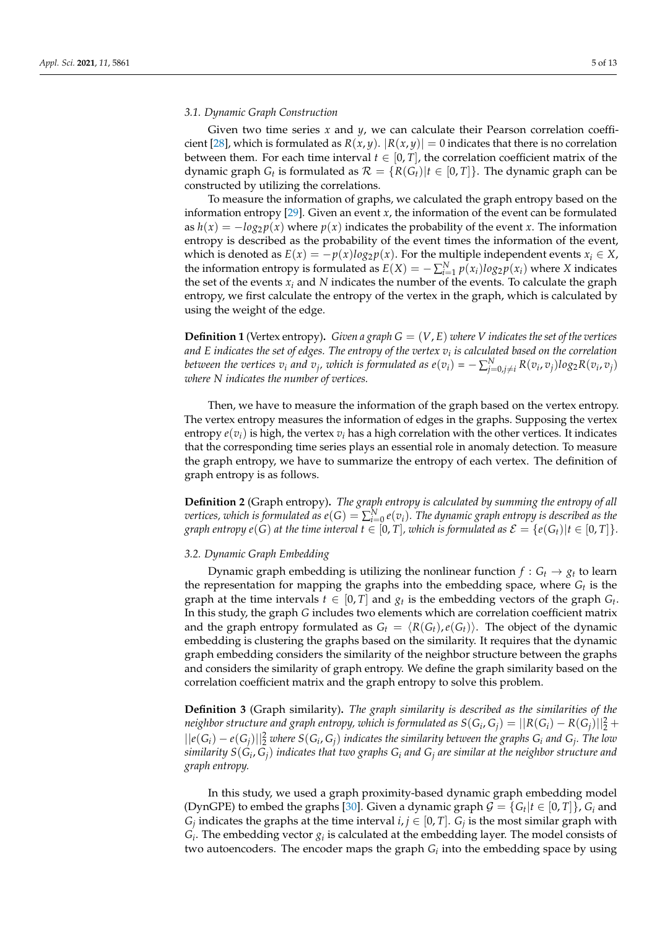# *3.1. Dynamic Graph Construction*

Given two time series *x* and *y*, we can calculate their Pearson correlation coeffi-cient [\[28\]](#page-12-10), which is formulated as  $R(x, y)$ .  $|R(x, y)| = 0$  indicates that there is no correlation between them. For each time interval  $t \in [0, T]$ , the correlation coefficient matrix of the dynamic graph  $G_t$  is formulated as  $\mathcal{R} = \{R(G_t)|t \in [0,T]\}$ . The dynamic graph can be constructed by utilizing the correlations.

To measure the information of graphs, we calculated the graph entropy based on the information entropy [\[29\]](#page-12-11). Given an event *x*, the information of the event can be formulated as  $h(x) = -\log_2 p(x)$  where  $p(x)$  indicates the probability of the event *x*. The information entropy is described as the probability of the event times the information of the event, which is denoted as  $E(x) = -p(x)log_2 p(x)$ . For the multiple independent events  $x_i \in X$ , the information entropy is formulated as  $E(X) = -\sum_{i=1}^{N} p(x_i) \log_2 p(x_i)$  where *X* indicates the set of the events  $x_i$  and  $N$  indicates the number of the events. To calculate the graph entropy, we first calculate the entropy of the vertex in the graph, which is calculated by using the weight of the edge.

**Definition 1** (Vertex entropy). Given a graph  $G = (V, E)$  where V indicates the set of the vertices *and E indicates the set of edges. The entropy of the vertex v<sup>i</sup> is calculated based on the correlation* between the vertices  $v_i$  and  $v_j$ , which is formulated as  $e(v_i)=-\sum_{j=0,j\neq i}^{N}R(v_i,v_j)log_2R(v_i,v_j)$ *where N indicates the number of vertices.*

Then, we have to measure the information of the graph based on the vertex entropy. The vertex entropy measures the information of edges in the graphs. Supposing the vertex entropy  $e(v_i)$  is high, the vertex  $v_i$  has a high correlation with the other vertices. It indicates that the corresponding time series plays an essential role in anomaly detection. To measure the graph entropy, we have to summarize the entropy of each vertex. The definition of graph entropy is as follows.

**Definition 2** (Graph entropy)**.** *The graph entropy is calculated by summing the entropy of all*  $\iota$  *vertices, which is formulated as*  $e(G) = \sum_{i=0}^{N} e(v_i).$  *The dynamic graph entropy is described as the graph entropy*  $e(G)$  *at the time interval*  $t \in [0, T]$ *, which is formulated as*  $\mathcal{E} = \{e(G_t) | t \in [0, T] \}$ *.* 

# *3.2. Dynamic Graph Embedding*

Dynamic graph embedding is utilizing the nonlinear function  $f : G_t \to g_t$  to learn the representation for mapping the graphs into the embedding space, where *G<sup>t</sup>* is the graph at the time intervals  $t \in [0, T]$  and  $g_t$  is the embedding vectors of the graph  $G_t$ . In this study, the graph *G* includes two elements which are correlation coefficient matrix and the graph entropy formulated as  $G_t = \langle R(G_t), e(G_t) \rangle$ . The object of the dynamic embedding is clustering the graphs based on the similarity. It requires that the dynamic graph embedding considers the similarity of the neighbor structure between the graphs and considers the similarity of graph entropy. We define the graph similarity based on the correlation coefficient matrix and the graph entropy to solve this problem.

**Definition 3** (Graph similarity)**.** *The graph similarity is described as the similarities of the neighbor structure and graph entropy, which is formulated as*  $S(G_i,G_j) = ||R(G_i) - R(G_j)||_2^2 +$  $||e(G_i) - e(G_j)||_2^2$  where  $S(G_i, G_j)$  indicates the similarity between the graphs  $G_i$  and  $G_j$ . The low *similarity S*(*G<sup>i</sup>* , *Gj*) *indicates that two graphs G<sup>i</sup> and G<sup>j</sup> are similar at the neighbor structure and graph entropy.*

In this study, we used a graph proximity-based dynamic graph embedding model (DynGPE) to embed the graphs [\[30\]](#page-12-12). Given a dynamic graph  $G = \{G_t | t \in [0, T]\}$ ,  $G_i$  and *G*<sub>*j*</sub> indicates the graphs at the time interval *i*, *j*  $\in$  [0, *T*]. *G*<sub>*j*</sub> is the most similar graph with  $G_i$ . The embedding vector  $g_i$  is calculated at the embedding layer. The model consists of two autoencoders. The encoder maps the graph *G<sup>i</sup>* into the embedding space by using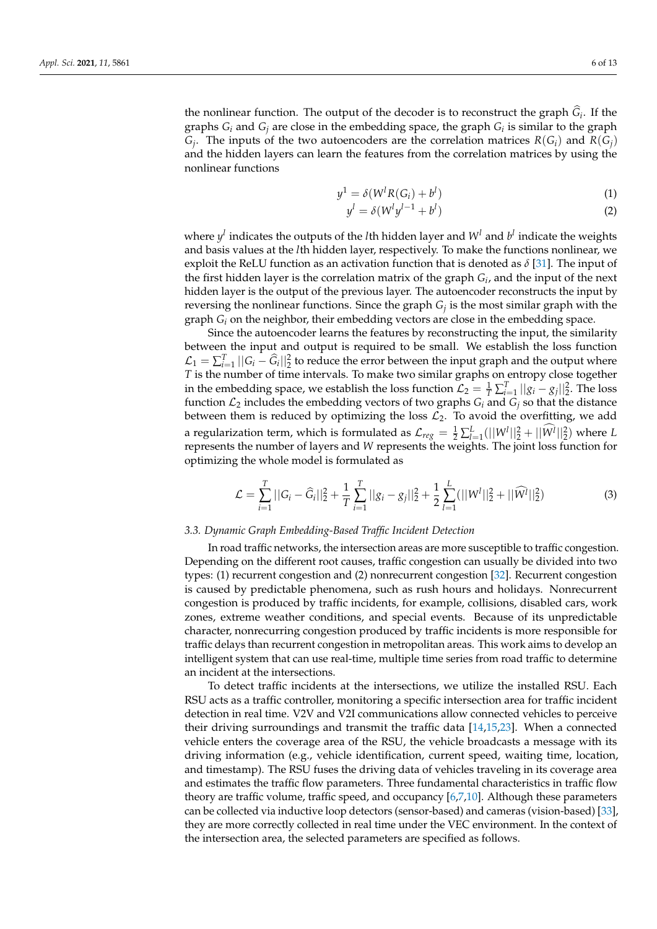the nonlinear function. The output of the decoder is to reconstruct the graph  $G_i$ . If the graphs *G<sup>i</sup>* and *G<sup>j</sup>* are close in the embedding space, the graph *G<sup>i</sup>* is similar to the graph *G*<sub>*j*</sub>. The inputs of the two autoencoders are the correlation matrices  $R(G_i)$  and  $R(G_j)$ and the hidden layers can learn the features from the correlation matrices by using the nonlinear functions

$$
y^1 = \delta(W^l R(G_i) + b^l)
$$
\n<sup>(1)</sup>

$$
y^l = \delta(W^l y^{l-1} + b^l) \tag{2}
$$

where  $y^l$  indicates the outputs of the *l*th hidden layer and  $W^l$  and  $b^l$  indicate the weights and basis values at the *l*th hidden layer, respectively. To make the functions nonlinear, we exploit the ReLU function as an activation function that is denoted as  $\delta$  [\[31\]](#page-12-13). The input of the first hidden layer is the correlation matrix of the graph *G<sup>i</sup>* , and the input of the next hidden layer is the output of the previous layer. The autoencoder reconstructs the input by reversing the nonlinear functions. Since the graph *G<sup>j</sup>* is the most similar graph with the graph *G<sup>i</sup>* on the neighbor, their embedding vectors are close in the embedding space.

Since the autoencoder learns the features by reconstructing the input, the similarity between the input and output is required to be small. We establish the loss function  $\mathcal{L}_1 = \sum_{i=1}^T ||G_i - \hat{G}_i||_2^2$  to reduce the error between the input graph and the output where *T* is the number of time intervals. To make two similar graphs on entropy close together in the embedding space, we establish the loss function  $\mathcal{L}_2 = \frac{1}{T} \sum_{i=1}^T ||g_i - g_j||_2^2$ . The loss function  $\mathcal{L}_2$  includes the embedding vectors of two graphs  $G_i$  and  $G_j$  so that the distance between them is reduced by optimizing the loss  $\mathcal{L}_2$ . To avoid the overfitting, we add a regularization term, which is formulated as  $\mathcal{L}_{reg} = \frac{1}{2} \sum_{l=1}^{L} (||W^l||_2^2 + ||W^l||_2^2)$  where *L* represents the number of layers and *W* represents the weights. The joint loss function for optimizing the whole model is formulated as

$$
\mathcal{L} = \sum_{i=1}^{T} ||G_i - \widehat{G}_i||_2^2 + \frac{1}{T} \sum_{i=1}^{T} ||g_i - g_j||_2^2 + \frac{1}{2} \sum_{l=1}^{L} (||W^l||_2^2 + ||\widehat{W^l}||_2^2)
$$
(3)

## *3.3. Dynamic Graph Embedding-Based Traffic Incident Detection*

In road traffic networks, the intersection areas are more susceptible to traffic congestion. Depending on the different root causes, traffic congestion can usually be divided into two types: (1) recurrent congestion and (2) nonrecurrent congestion [\[32\]](#page-12-14). Recurrent congestion is caused by predictable phenomena, such as rush hours and holidays. Nonrecurrent congestion is produced by traffic incidents, for example, collisions, disabled cars, work zones, extreme weather conditions, and special events. Because of its unpredictable character, nonrecurring congestion produced by traffic incidents is more responsible for traffic delays than recurrent congestion in metropolitan areas. This work aims to develop an intelligent system that can use real-time, multiple time series from road traffic to determine an incident at the intersections.

To detect traffic incidents at the intersections, we utilize the installed RSU. Each RSU acts as a traffic controller, monitoring a specific intersection area for traffic incident detection in real time. V2V and V2I communications allow connected vehicles to perceive their driving surroundings and transmit the traffic data [\[14,](#page-11-16)[15,](#page-11-13)[23\]](#page-12-5). When a connected vehicle enters the coverage area of the RSU, the vehicle broadcasts a message with its driving information (e.g., vehicle identification, current speed, waiting time, location, and timestamp). The RSU fuses the driving data of vehicles traveling in its coverage area and estimates the traffic flow parameters. Three fundamental characteristics in traffic flow theory are traffic volume, traffic speed, and occupancy [\[6](#page-11-5)[,7](#page-11-6)[,10\]](#page-11-9). Although these parameters can be collected via inductive loop detectors (sensor-based) and cameras (vision-based) [\[33\]](#page-12-15), they are more correctly collected in real time under the VEC environment. In the context of the intersection area, the selected parameters are specified as follows.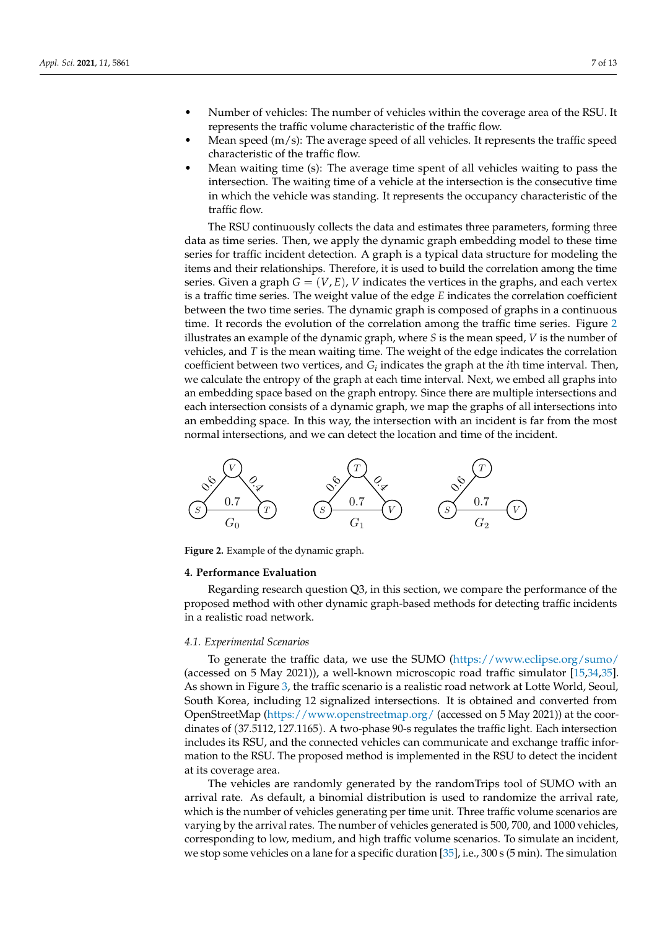- Number of vehicles: The number of vehicles within the coverage area of the RSU. It represents the traffic volume characteristic of the traffic flow.
- Mean speed  $(m/s)$ : The average speed of all vehicles. It represents the traffic speed characteristic of the traffic flow.
- Mean waiting time (s): The average time spent of all vehicles waiting to pass the intersection. The waiting time of a vehicle at the intersection is the consecutive time in which the vehicle was standing. It represents the occupancy characteristic of the traffic flow.

The RSU continuously collects the data and estimates three parameters, forming three data as time series. Then, we apply the dynamic graph embedding model to these time series for traffic incident detection. A graph is a typical data structure for modeling the items and their relationships. Therefore, it is used to build the correlation among the time series. Given a graph  $G = (V, E)$ , *V* indicates the vertices in the graphs, and each vertex is a traffic time series. The weight value of the edge *E* indicates the correlation coefficient between the two time series. The dynamic graph is composed of graphs in a continuous time. It records the evolution of the correlation among the traffic time series. Figure [2](#page-6-1) illustrates an example of the dynamic graph, where *S* is the mean speed, *V* is the number of vehicles, and *T* is the mean waiting time. The weight of the edge indicates the correlation coefficient between two vertices, and  $G_i$  indicates the graph at the *i*th time interval. Then, we calculate the entropy of the graph at each time interval. Next, we embed all graphs into an embedding space based on the graph entropy. Since there are multiple intersections and each intersection consists of a dynamic graph, we map the graphs of all intersections into an embedding space. In this way, the intersection with an incident is far from the most normal intersections, and we can detect the location and time of the incident.

<span id="page-6-1"></span>

**Figure 2.** Example of the dynamic graph.

## <span id="page-6-0"></span>**4. Performance Evaluation**

Regarding research question Q3, in this section, we compare the performance of the proposed method with other dynamic graph-based methods for detecting traffic incidents in a realistic road network.

#### *4.1. Experimental Scenarios*

To generate the traffic data, we use the SUMO [\(https://www.eclipse.org/sumo/](https://www.eclipse.org/sumo/) (accessed on 5 May 2021)), a well-known microscopic road traffic simulator [\[15,](#page-11-13)[34,](#page-12-16)[35\]](#page-12-17). As shown in Figure [3,](#page-7-0) the traffic scenario is a realistic road network at Lotte World, Seoul, South Korea, including 12 signalized intersections. It is obtained and converted from OpenStreetMap [\(https://www.openstreetmap.org/](https://www.openstreetmap.org/) (accessed on 5 May 2021)) at the coordinates of (37.5112, 127.1165). A two-phase 90-s regulates the traffic light. Each intersection includes its RSU, and the connected vehicles can communicate and exchange traffic information to the RSU. The proposed method is implemented in the RSU to detect the incident at its coverage area.

The vehicles are randomly generated by the randomTrips tool of SUMO with an arrival rate. As default, a binomial distribution is used to randomize the arrival rate, which is the number of vehicles generating per time unit. Three traffic volume scenarios are varying by the arrival rates. The number of vehicles generated is 500, 700, and 1000 vehicles, corresponding to low, medium, and high traffic volume scenarios. To simulate an incident, we stop some vehicles on a lane for a specific duration [\[35\]](#page-12-17), i.e., 300 s (5 min). The simulation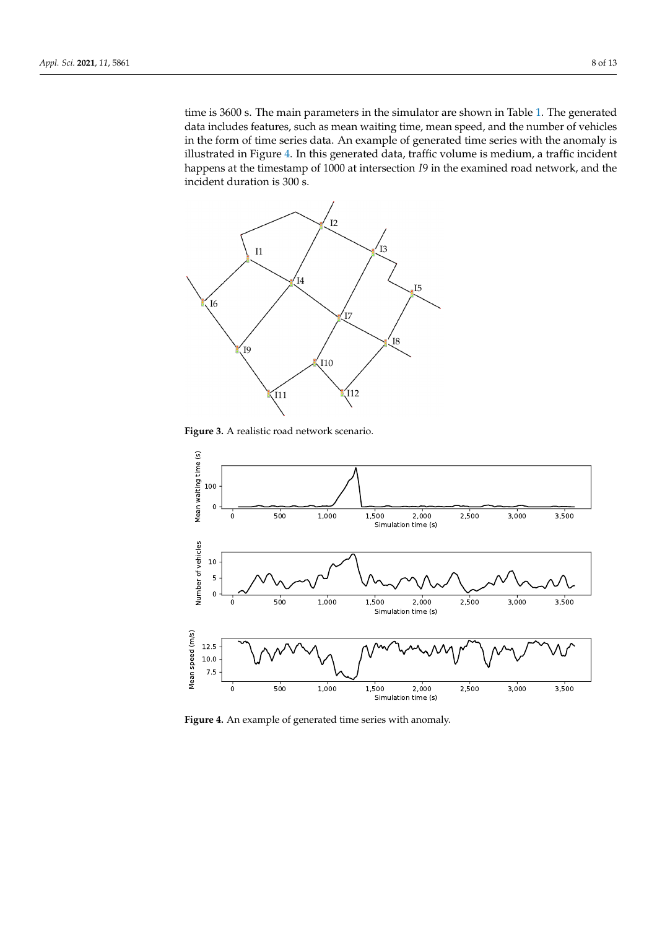time is 3600 s. The main parameters in the simulator are shown in Table [1.](#page-8-0) The generated data includes features, such as mean waiting time, mean speed, and the number of vehicles in the form of time series data. An example of generated time series with the anomaly is illustrated in Figure [4.](#page-7-1) In this generated data, traffic volume is medium, a traffic incident happens at the timestamp of 1000 at intersection *I*9 in the examined road network, and the incident duration is 300 s.

<span id="page-7-0"></span>

**Figure 3.** A realistic road network scenario.

<span id="page-7-1"></span>

**Figure 4.** An example of generated time series with anomaly.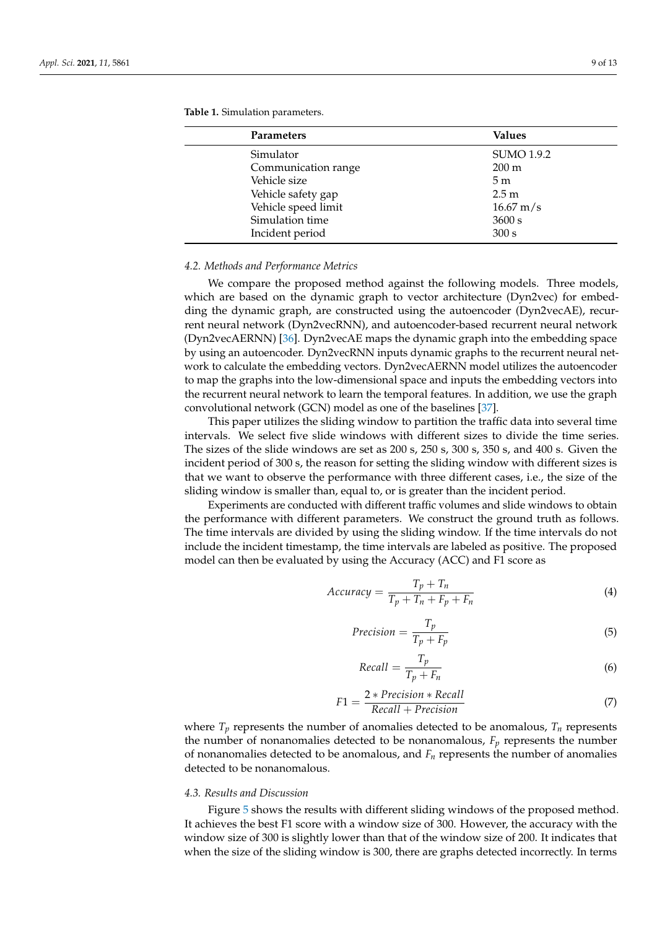| <b>Parameters</b>   | <b>Values</b>          |
|---------------------|------------------------|
| Simulator           | <b>SUMO 1.9.2</b>      |
| Communication range | $200 \text{ m}$        |
| Vehicle size        | 5m                     |
| Vehicle safety gap  | 2.5 <sub>m</sub>       |
| Vehicle speed limit | $16.67 \,\mathrm{m/s}$ |
| Simulation time     | 3600 s                 |
| Incident period     | 300 s                  |

<span id="page-8-0"></span>**Table 1.** Simulation parameters.

## *4.2. Methods and Performance Metrics*

We compare the proposed method against the following models. Three models, which are based on the dynamic graph to vector architecture (Dyn2vec) for embedding the dynamic graph, are constructed using the autoencoder (Dyn2vecAE), recurrent neural network (Dyn2vecRNN), and autoencoder-based recurrent neural network (Dyn2vecAERNN) [\[36\]](#page-12-18). Dyn2vecAE maps the dynamic graph into the embedding space by using an autoencoder. Dyn2vecRNN inputs dynamic graphs to the recurrent neural network to calculate the embedding vectors. Dyn2vecAERNN model utilizes the autoencoder to map the graphs into the low-dimensional space and inputs the embedding vectors into the recurrent neural network to learn the temporal features. In addition, we use the graph convolutional network (GCN) model as one of the baselines [\[37\]](#page-12-19).

This paper utilizes the sliding window to partition the traffic data into several time intervals. We select five slide windows with different sizes to divide the time series. The sizes of the slide windows are set as 200 s, 250 s, 300 s, 350 s, and 400 s. Given the incident period of 300 s, the reason for setting the sliding window with different sizes is that we want to observe the performance with three different cases, i.e., the size of the sliding window is smaller than, equal to, or is greater than the incident period.

Experiments are conducted with different traffic volumes and slide windows to obtain the performance with different parameters. We construct the ground truth as follows. The time intervals are divided by using the sliding window. If the time intervals do not include the incident timestamp, the time intervals are labeled as positive. The proposed model can then be evaluated by using the Accuracy (ACC) and F1 score as

$$
Accuracy = \frac{T_p + T_n}{T_p + T_n + F_p + F_n}
$$
\n(4)

$$
Precision = \frac{T_p}{T_p + F_p} \tag{5}
$$

$$
Recall = \frac{T_p}{T_p + F_n} \tag{6}
$$

$$
F1 = \frac{2 * Precision * Recall}{Recall + Precision}
$$
 (7)

where  $T_p$  represents the number of anomalies detected to be anomalous,  $T_n$  represents the number of nonanomalies detected to be nonanomalous,  $F_p$  represents the number of nonanomalies detected to be anomalous, and  $F<sub>n</sub>$  represents the number of anomalies detected to be nonanomalous.

#### *4.3. Results and Discussion*

Figure [5](#page-9-0) shows the results with different sliding windows of the proposed method. It achieves the best F1 score with a window size of 300. However, the accuracy with the window size of 300 is slightly lower than that of the window size of 200. It indicates that when the size of the sliding window is 300, there are graphs detected incorrectly. In terms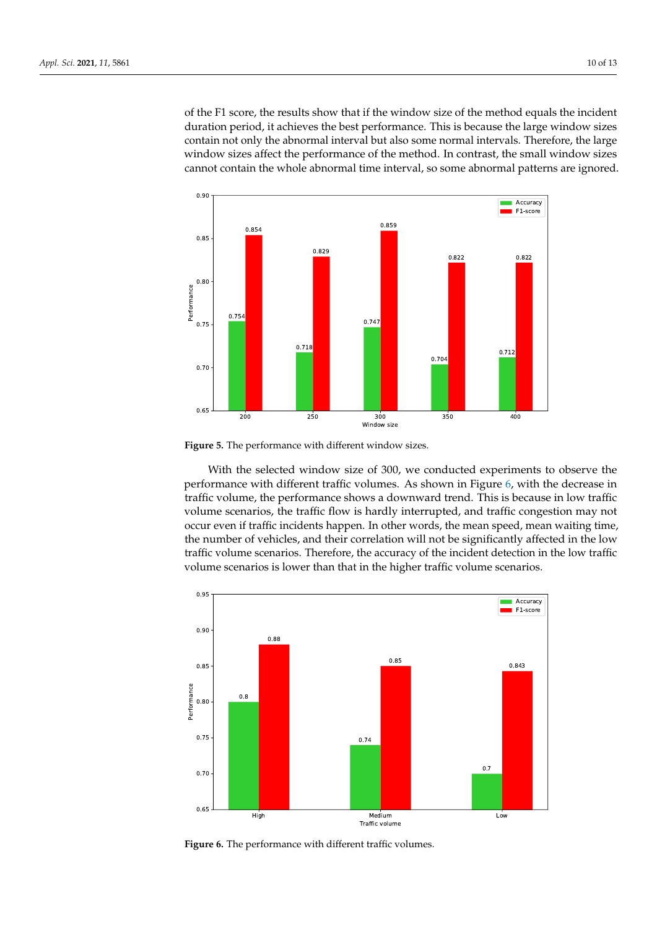of the F1 score, the results show that if the window size of the method equals the incident duration period, it achieves the best performance. This is because the large window sizes contain not only the abnormal interval but also some normal intervals. Therefore, the large window sizes affect the performance of the method. In contrast, the small window sizes cannot contain the whole abnormal time interval, so some abnormal patterns are ignored.

<span id="page-9-0"></span>

**Figure 5.** The performance with different window sizes.

With the selected window size of 300, we conducted experiments to observe the performance with different traffic volumes. As shown in Figure [6,](#page-9-1) with the decrease in traffic volume, the performance shows a downward trend. This is because in low traffic volume scenarios, the traffic flow is hardly interrupted, and traffic congestion may not occur even if traffic incidents happen. In other words, the mean speed, mean waiting time, the number of vehicles, and their correlation will not be significantly affected in the low traffic volume scenarios. Therefore, the accuracy of the incident detection in the low traffic volume scenarios is lower than that in the higher traffic volume scenarios.

<span id="page-9-1"></span>

**Figure 6.** The performance with different traffic volumes.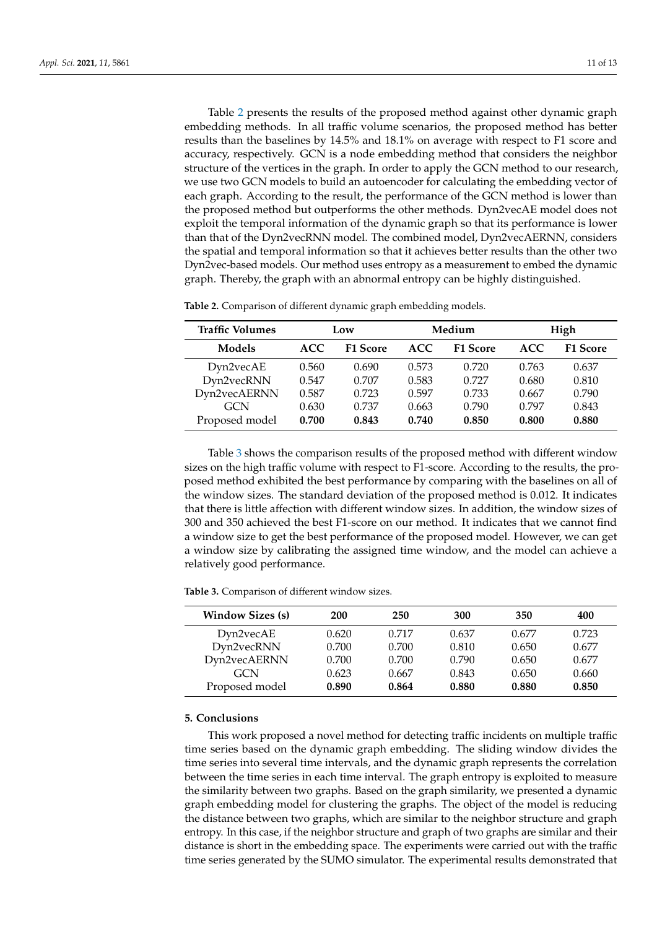Table [2](#page-10-1) presents the results of the proposed method against other dynamic graph embedding methods. In all traffic volume scenarios, the proposed method has better results than the baselines by 14.5% and 18.1% on average with respect to F1 score and accuracy, respectively. GCN is a node embedding method that considers the neighbor structure of the vertices in the graph. In order to apply the GCN method to our research, we use two GCN models to build an autoencoder for calculating the embedding vector of each graph. According to the result, the performance of the GCN method is lower than the proposed method but outperforms the other methods. Dyn2vecAE model does not exploit the temporal information of the dynamic graph so that its performance is lower than that of the Dyn2vecRNN model. The combined model, Dyn2vecAERNN, considers the spatial and temporal information so that it achieves better results than the other two Dyn2vec-based models. Our method uses entropy as a measurement to embed the dynamic graph. Thereby, the graph with an abnormal entropy can be highly distinguished.

| <b>Traffic Volumes</b> | Low        |                 | Medium     |                 | High  |                 |
|------------------------|------------|-----------------|------------|-----------------|-------|-----------------|
| Models                 | <b>ACC</b> | <b>F1 Score</b> | <b>ACC</b> | <b>F1 Score</b> | ACC   | <b>F1 Score</b> |
| Dyn2vecAE              | 0.560      | 0.690           | 0.573      | 0.720           | 0.763 | 0.637           |
| Dyn2vecRNN             | 0.547      | 0.707           | 0.583      | 0.727           | 0.680 | 0.810           |
| Dyn2vecAERNN           | 0.587      | 0.723           | 0.597      | 0.733           | 0.667 | 0.790           |
| <b>GCN</b>             | 0.630      | 0.737           | 0.663      | 0.790           | 0.797 | 0.843           |
| Proposed model         | 0.700      | 0.843           | 0.740      | 0.850           | 0.800 | 0.880           |

<span id="page-10-1"></span>**Table 2.** Comparison of different dynamic graph embedding models.

Table [3](#page-10-2) shows the comparison results of the proposed method with different window sizes on the high traffic volume with respect to F1-score. According to the results, the proposed method exhibited the best performance by comparing with the baselines on all of the window sizes. The standard deviation of the proposed method is 0.012. It indicates that there is little affection with different window sizes. In addition, the window sizes of 300 and 350 achieved the best F1-score on our method. It indicates that we cannot find a window size to get the best performance of the proposed model. However, we can get a window size by calibrating the assigned time window, and the model can achieve a relatively good performance.

<span id="page-10-2"></span>**Table 3.** Comparison of different window sizes.

| <b>Window Sizes (s)</b> | 200   | 250   | 300   | 350   | 400   |
|-------------------------|-------|-------|-------|-------|-------|
| Dyn2vecAE               | 0.620 | 0.717 | 0.637 | 0.677 | 0.723 |
| Dyn2vecRNN              | 0.700 | 0.700 | 0.810 | 0.650 | 0.677 |
| Dyn2vecAERNN            | 0.700 | 0.700 | 0.790 | 0.650 | 0.677 |
| GCN                     | 0.623 | 0.667 | 0.843 | 0.650 | 0.660 |
| Proposed model          | 0.890 | 0.864 | 0.880 | 0.880 | 0.850 |

# <span id="page-10-0"></span>**5. Conclusions**

This work proposed a novel method for detecting traffic incidents on multiple traffic time series based on the dynamic graph embedding. The sliding window divides the time series into several time intervals, and the dynamic graph represents the correlation between the time series in each time interval. The graph entropy is exploited to measure the similarity between two graphs. Based on the graph similarity, we presented a dynamic graph embedding model for clustering the graphs. The object of the model is reducing the distance between two graphs, which are similar to the neighbor structure and graph entropy. In this case, if the neighbor structure and graph of two graphs are similar and their distance is short in the embedding space. The experiments were carried out with the traffic time series generated by the SUMO simulator. The experimental results demonstrated that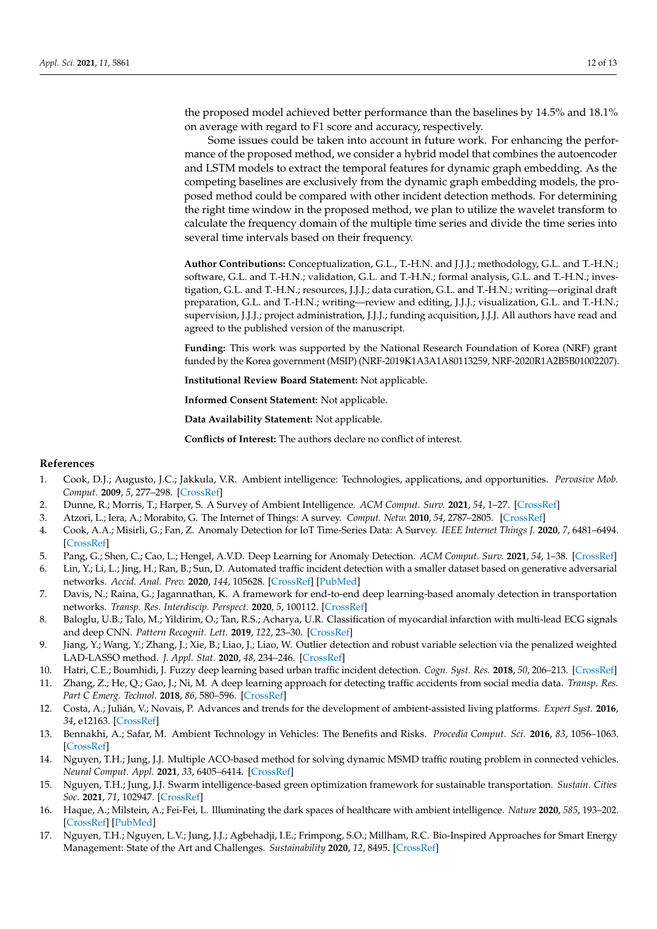the proposed model achieved better performance than the baselines by 14.5% and 18.1% on average with regard to F1 score and accuracy, respectively.

Some issues could be taken into account in future work. For enhancing the performance of the proposed method, we consider a hybrid model that combines the autoencoder and LSTM models to extract the temporal features for dynamic graph embedding. As the competing baselines are exclusively from the dynamic graph embedding models, the proposed method could be compared with other incident detection methods. For determining the right time window in the proposed method, we plan to utilize the wavelet transform to calculate the frequency domain of the multiple time series and divide the time series into several time intervals based on their frequency.

**Author Contributions:** Conceptualization, G.L., T.-H.N. and J.J.J.; methodology, G.L. and T.-H.N.; software, G.L. and T.-H.N.; validation, G.L. and T.-H.N.; formal analysis, G.L. and T.-H.N.; investigation, G.L. and T.-H.N.; resources, J.J.J.; data curation, G.L. and T.-H.N.; writing—original draft preparation, G.L. and T.-H.N.; writing—review and editing, J.J.J.; visualization, G.L. and T.-H.N.; supervision, J.J.J.; project administration, J.J.J.; funding acquisition, J.J.J. All authors have read and agreed to the published version of the manuscript.

**Funding:** This work was supported by the National Research Foundation of Korea (NRF) grant funded by the Korea government (MSIP) (NRF-2019K1A3A1A80113259, NRF-2020R1A2B5B01002207).

**Institutional Review Board Statement:** Not applicable.

**Informed Consent Statement:** Not applicable.

**Data Availability Statement:** Not applicable.

**Conflicts of Interest:** The authors declare no conflict of interest.

# **References**

- <span id="page-11-0"></span>1. Cook, D.J.; Augusto, J.C.; Jakkula, V.R. Ambient intelligence: Technologies, applications, and opportunities. *Pervasive Mob. Comput.* **2009**, *5*, 277–298. [\[CrossRef\]](http://doi.org/10.1016/j.pmcj.2009.04.001)
- <span id="page-11-1"></span>2. Dunne, R.; Morris, T.; Harper, S. A Survey of Ambient Intelligence. *ACM Comput. Surv.* **2021**, *54*, 1–27. [\[CrossRef\]](http://dx.doi.org/10.1145/3447242)
- <span id="page-11-2"></span>3. Atzori, L.; Iera, A.; Morabito, G. The Internet of Things: A survey. *Comput. Netw.* **2010**, *54*, 2787–2805. [\[CrossRef\]](http://dx.doi.org/10.1016/j.comnet.2010.05.010)
- <span id="page-11-3"></span>4. Cook, A.A.; Misirli, G.; Fan, Z. Anomaly Detection for IoT Time-Series Data: A Survey. *IEEE Internet Things J.* **2020**, *7*, 6481–6494. [\[CrossRef\]](http://dx.doi.org/10.1109/JIOT.2019.2958185)
- <span id="page-11-4"></span>5. Pang, G.; Shen, C.; Cao, L.; Hengel, A.V.D. Deep Learning for Anomaly Detection. *ACM Comput. Surv.* **2021**, *54*, 1–38. [\[CrossRef\]](http://dx.doi.org/10.1145/3439950)
- <span id="page-11-5"></span>6. Lin, Y.; Li, L.; Jing, H.; Ran, B.; Sun, D. Automated traffic incident detection with a smaller dataset based on generative adversarial networks. *Accid. Anal. Prev.* **2020**, *144*, 105628. [\[CrossRef\]](http://dx.doi.org/10.1016/j.aap.2020.105628) [\[PubMed\]](http://www.ncbi.nlm.nih.gov/pubmed/32570087)
- <span id="page-11-6"></span>7. Davis, N.; Raina, G.; Jagannathan, K. A framework for end-to-end deep learning-based anomaly detection in transportation networks. *Transp. Res. Interdiscip. Perspect.* **2020**, *5*, 100112. [\[CrossRef\]](http://dx.doi.org/10.1016/j.trip.2020.100112)
- <span id="page-11-7"></span>8. Baloglu, U.B.; Talo, M.; Yildirim, O.; Tan, R.S.; Acharya, U.R. Classification of myocardial infarction with multi-lead ECG signals and deep CNN. *Pattern Recognit. Lett.* **2019**, *122*, 23–30. [\[CrossRef\]](http://dx.doi.org/10.1016/j.patrec.2019.02.016)
- <span id="page-11-8"></span>9. Jiang, Y.; Wang, Y.; Zhang, J.; Xie, B.; Liao, J.; Liao, W. Outlier detection and robust variable selection via the penalized weighted LAD-LASSO method. *J. Appl. Stat.* **2020**, *48*, 234–246. [\[CrossRef\]](http://dx.doi.org/10.1080/02664763.2020.1722079)
- <span id="page-11-9"></span>10. Hatri, C.E.; Boumhidi, J. Fuzzy deep learning based urban traffic incident detection. *Cogn. Syst. Res.* **2018**, *50*, 206–213. [\[CrossRef\]](http://dx.doi.org/10.1016/j.cogsys.2017.12.002)
- <span id="page-11-10"></span>11. Zhang, Z.; He, Q.; Gao, J.; Ni, M. A deep learning approach for detecting traffic accidents from social media data. *Transp. Res. Part C Emerg. Technol.* **2018**, *86*, 580–596. [\[CrossRef\]](http://dx.doi.org/10.1016/j.trc.2017.11.027)
- <span id="page-11-11"></span>12. Costa, A.; Julián, V.; Novais, P. Advances and trends for the development of ambient-assisted living platforms. *Expert Syst.* **2016**, *34*, e12163. [\[CrossRef\]](http://dx.doi.org/10.1111/exsy.12163)
- <span id="page-11-12"></span>13. Bennakhi, A.; Safar, M. Ambient Technology in Vehicles: The Benefits and Risks. *Procedia Comput. Sci.* **2016**, *83*, 1056–1063. [\[CrossRef\]](http://dx.doi.org/10.1016/j.procs.2016.04.223)
- <span id="page-11-16"></span>14. Nguyen, T.H.; Jung, J.J. Multiple ACO-based method for solving dynamic MSMD traffic routing problem in connected vehicles. *Neural Comput. Appl.* **2021**, *33*, 6405–6414. [\[CrossRef\]](http://dx.doi.org/10.1007/s00521-020-05402-8)
- <span id="page-11-13"></span>15. Nguyen, T.H.; Jung, J.J. Swarm intelligence-based green optimization framework for sustainable transportation. *Sustain. Cities Soc.* **2021**, *71*, 102947. [\[CrossRef\]](http://dx.doi.org/10.1016/j.scs.2021.102947)
- <span id="page-11-14"></span>16. Haque, A.; Milstein, A.; Fei-Fei, L. Illuminating the dark spaces of healthcare with ambient intelligence. *Nature* **2020**, *585*, 193–202. [\[CrossRef\]](http://dx.doi.org/10.1038/s41586-020-2669-y) [\[PubMed\]](http://www.ncbi.nlm.nih.gov/pubmed/32908264)
- <span id="page-11-15"></span>17. Nguyen, T.H.; Nguyen, L.V.; Jung, J.J.; Agbehadji, I.E.; Frimpong, S.O.; Millham, R.C. Bio-Inspired Approaches for Smart Energy Management: State of the Art and Challenges. *Sustainability* **2020**, *12*, 8495. [\[CrossRef\]](http://dx.doi.org/10.3390/su12208495)